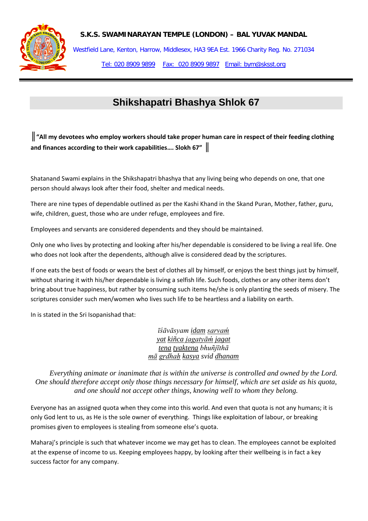

**S.K.S. SWAMINARAYAN TEMPLE (LONDON) – BAL YUVAK MANDAL**

Westfield Lane, Kenton, Harrow, Middlesex, HA3 9EA Est. 1966 Charity Reg. No. 271034 Tel: 020 8909 9899 Fax: 020 8909 9897 Email: bym@sksst.org

## **Shikshapatri Bhashya Shlok 67**

*║***"All my devotees who employ workers should take proper human care in respect of their feeding clothing and finances according to their work capabilities…. Slokh 67"** *║*

Shatanand Swami explains in the Shikshapatri bhashya that any living being who depends on one, that one person should always look after their food, shelter and medical needs.

There are nine types of dependable outlined as per the Kashi Khand in the Skand Puran, Mother, father, guru, wife, children, guest, those who are under refuge, employees and fire.

Employees and servants are considered dependents and they should be maintained.

Only one who lives by protecting and looking after his/her dependable is considered to be living a real life. One who does not look after the dependents, although alive is considered dead by the scriptures.

If one eats the best of foods or wears the best of clothes all by himself, or enjoys the best things just by himself, without sharing it with his/her dependable is living a selfish life. Such foods, clothes or any other items don't bring about true happiness, but rather by consuming such items he/she is only planting the seeds of misery. The scriptures consider such men/women who lives such life to be heartless and a liability on earth.

In is stated in the Sri Isopanishad that:

*īśāvāsyam [idam](http://vedabase.net/i/idam) [sarvaḿ](http://vedabase.net/s/sarvam) [yat](http://vedabase.net/y/yat) [kiñca](http://vedabase.net/k/kinca) [jagatyāḿ](http://vedabase.net/j/jagatyam) [jagat](http://vedabase.net/j/jagat) [tena](http://vedabase.net/t/tena) [tyaktena](http://vedabase.net/t/tyaktena) bhuñjīthā [mā](http://vedabase.net/m/ma) [gṛdhaḥ](http://vedabase.net/g/grdhah) [kasya](http://vedabase.net/k/kasya) svid [dhanam](http://vedabase.net/d/dhanam)*

*Everything animate or inanimate that is within the universe is controlled and owned by the Lord. One should therefore accept only those things necessary for himself, which are set aside as his quota, and one should not accept other things, knowing well to whom they belong.*

Everyone has an assigned quota when they come into this world. And even that quota is not any humans; it is only God lent to us, as He is the sole owner of everything. Things like exploitation of labour, or breaking promises given to employees is stealing from someone else's quota.

Maharaj's principle is such that whatever income we may get has to clean. The employees cannot be exploited at the expense of income to us. Keeping employees happy, by looking after their wellbeing is in fact a key success factor for any company.